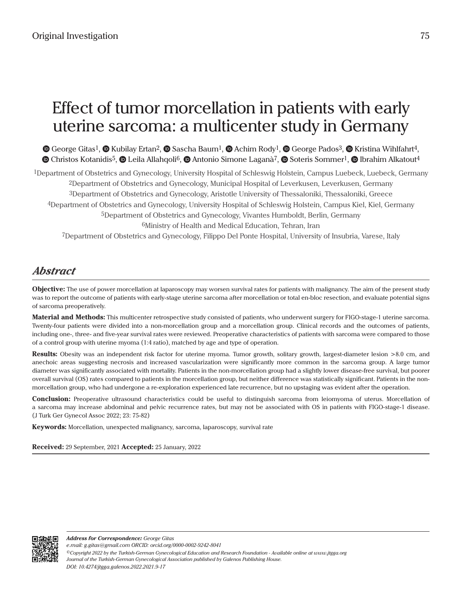# Effect of tumor morcellation in patients with early uterine sarcoma: a multicenter study in Germany

 $\bullet$ George Gitas<sup>1</sup>[,](https://orcid.org/0000-0001-5904-0486)  $\bullet$  Kubilay Ertan<sup>2</sup>,  $\bullet$  Sascha Baum<sup>1</sup>,  $\bullet$  Achim Rody<sup>1</sup>,  $\bullet$  George Pados<sup>3</sup>,  $\bullet$  Kristina Wihlfahrt<sup>4</sup>,  $\bullet$ Christos Kotanidis<sup>5</sup>,  $\bullet$  Leila Allahqoli<sup>6</sup>,  $\bullet$  Antonio Simone Laganà<sup>7</sup>,  $\bullet$  Soteris Sommer<sup>1</sup>,  $\bullet$  Ibrahim Alkatout<sup>4</sup>

1Department of Obstetrics and Gynecology, University Hospital of Schleswig Holstein, Campus Luebeck, Luebeck, Germany 2Department of Obstetrics and Gynecology, Municipal Hospital of Leverkusen, Leverkusen, Germany 3Department of Obstetrics and Gynecology, Aristotle University of Thessaloniki, Thessaloniki, Greece 4Department of Obstetrics and Gynecology, University Hospital of Schleswig Holstein, Campus Kiel, Kiel, Germany 5Department of Obstetrics and Gynecology, Vivantes Humboldt, Berlin, Germany 6Ministry of Health and Medical Education, Tehran, Iran 7Department of Obstetrics and Gynecology, Filippo Del Ponte Hospital, University of Insubria, Varese, Italy

# *Abstract*

**Objective:** The use of power morcellation at laparoscopy may worsen survival rates for patients with malignancy. The aim of the present study was to report the outcome of patients with early-stage uterine sarcoma after morcellation or total en-bloc resection, and evaluate potential signs of sarcoma preoperatively.

**Material and Methods:** This multicenter retrospective study consisted of patients, who underwent surgery for FIGO-stage-1 uterine sarcoma. Twenty-four patients were divided into a non-morcellation group and a morcellation group. Clinical records and the outcomes of patients, including one-, three- and five-year survival rates were reviewed. Preoperative characteristics of patients with sarcoma were compared to those of a control group with uterine myoma (1:4 ratio), matched by age and type of operation.

**Results:** Obesity was an independent risk factor for uterine myoma. Tumor growth, solitary growth, largest-diameter lesion >8.0 cm, and anechoic areas suggesting necrosis and increased vascularization were significantly more common in the sarcoma group. A large tumor diameter was significantly associated with mortality. Patients in the non-morcellation group had a slightly lower disease-free survival, but poorer overall survival (OS) rates compared to patients in the morcellation group, but neither difference was statistically significant. Patients in the nonmorcellation group, who had undergone a re-exploration experienced late recurrence, but no upstaging was evident after the operation.

**Conclusion:** Preoperative ultrasound characteristics could be useful to distinguish sarcoma from leiomyoma of uterus. Morcellation of a sarcoma may increase abdominal and pelvic recurrence rates, but may not be associated with OS in patients with FIGO-stage-1 disease. (J Turk Ger Gynecol Assoc 2022; 23: 75-82)

**Keywords:** Morcellation, unexpected malignancy, sarcoma, laparoscopy, survival rate

**Received:** 29 September, 2021 **Accepted:** 25 January, 2022



*©Copyright 2022 by the Turkish-German Gynecological Education and Research Foundation - Available online at www.jtgga.org Journal of the Turkish-German Gynecological Association published by Galenos Publishing House. DOI: 10.4274/jtgga.galenos.2022.2021.9-17 Address for Correspondence: George Gitas e.mail: g.gitas@gmail.com ORCID: orcid.org/0000-0002-9242-8041*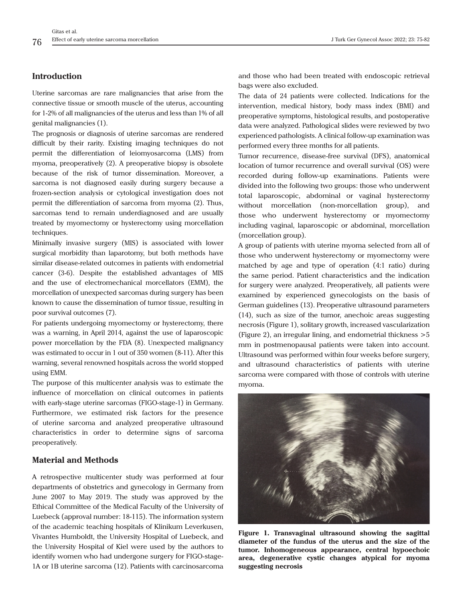# **Introduction**

Uterine sarcomas are rare malignancies that arise from the connective tissue or smooth muscle of the uterus, accounting for 1-2% of all malignancies of the uterus and less than 1% of all genital malignancies (1).

The prognosis or diagnosis of uterine sarcomas are rendered difficult by their rarity. Existing imaging techniques do not permit the differentiation of leiomyosarcoma (LMS) from myoma, preoperatively (2). A preoperative biopsy is obsolete because of the risk of tumor dissemination. Moreover, a sarcoma is not diagnosed easily during surgery because a frozen-section analysis or cytological investigation does not permit the differentiation of sarcoma from myoma (2). Thus, sarcomas tend to remain underdiagnosed and are usually treated by myomectomy or hysterectomy using morcellation techniques.

Minimally invasive surgery (MIS) is associated with lower surgical morbidity than laparotomy, but both methods have similar disease-related outcomes in patients with endometrial cancer (3-6). Despite the established advantages of MIS and the use of electromechanical morcellators (EMM), the morcellation of unexpected sarcomas during surgery has been known to cause the dissemination of tumor tissue, resulting in poor survival outcomes (7).

For patients undergoing myomectomy or hysterectomy, there was a warning, in April 2014, against the use of laparoscopic power morcellation by the FDA (8). Unexpected malignancy was estimated to occur in 1 out of 350 women (8-11). After this warning, several renowned hospitals across the world stopped using EMM.

The purpose of this multicenter analysis was to estimate the influence of morcellation on clinical outcomes in patients with early-stage uterine sarcomas (FIGO-stage-1) in Germany. Furthermore, we estimated risk factors for the presence of uterine sarcoma and analyzed preoperative ultrasound characteristics in order to determine signs of sarcoma preoperatively.

# **Material and Methods**

A retrospective multicenter study was performed at four departments of obstetrics and gynecology in Germany from June 2007 to May 2019. The study was approved by the Ethical Committee of the Medical Faculty of the University of Luebeck (approval number: 18-115). The information system of the academic teaching hospitals of Klinikum Leverkusen, Vivantes Humboldt, the University Hospital of Luebeck, and the University Hospital of Kiel were used by the authors to identify women who had undergone surgery for FIGO-stage-1A or 1B uterine sarcoma (12). Patients with carcinosarcoma

and those who had been treated with endoscopic retrieval bags were also excluded.

The data of 24 patients were collected. Indications for the intervention, medical history, body mass index (BMI) and preoperative symptoms, histological results, and postoperative data were analyzed. Pathological slides were reviewed by two experienced pathologists. A clinical follow-up examination was performed every three months for all patients.

Tumor recurrence, disease-free survival (DFS), anatomical location of tumor recurrence and overall survival (OS) were recorded during follow-up examinations. Patients were divided into the following two groups: those who underwent total laparoscopic, abdominal or vaginal hysterectomy without morcellation (non-morcellation group), and those who underwent hysterectomy or myomectomy including vaginal, laparoscopic or abdominal, morcellation (morcellation group).

A group of patients with uterine myoma selected from all of those who underwent hysterectomy or myomectomy were matched by age and type of operation (4:1 ratio) during the same period. Patient characteristics and the indication for surgery were analyzed. Preoperatively, all patients were examined by experienced gynecologists on the basis of German guidelines (13). Preoperative ultrasound parameters (14), such as size of the tumor, anechoic areas suggesting necrosis (Figure 1), solitary growth, increased vascularization (Figure 2), an irregular lining, and endometrial thickness >5 mm in postmenopausal patients were taken into account. Ultrasound was performed within four weeks before surgery, and ultrasound characteristics of patients with uterine sarcoma were compared with those of controls with uterine myoma.



**Figure 1. Transvaginal ultrasound showing the sagittal diameter of the fundus of the uterus and the size of the tumor. Inhomogeneous appearance, central hypoechoic area, degenerative cystic changes atypical for myoma suggesting necrosis**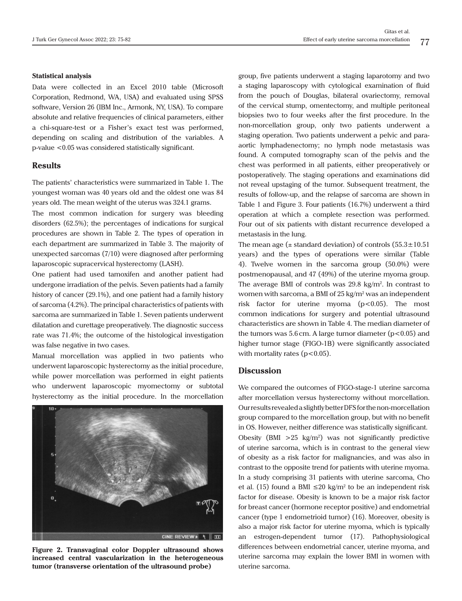### **Statistical analysis**

Data were collected in an Excel 2010 table (Microsoft Corporation, Redmond, WA, USA) and evaluated using SPSS software, Version 26 (IBM Inc., Armonk, NY, USA). To compare absolute and relative frequencies of clinical parameters, either a chi-square-test or a Fisher's exact test was performed, depending on scaling and distribution of the variables. A p-value <0.05 was considered statistically significant.

## **Results**

The patients' characteristics were summarized in Table 1. The youngest woman was 40 years old and the oldest one was 84 years old. The mean weight of the uterus was 324.1 grams.

The most common indication for surgery was bleeding disorders (62.5%); the percentages of indications for surgical procedures are shown in Table 2. The types of operation in each department are summarized in Table 3. The majority of unexpected sarcomas (7/10) were diagnosed after performing laparoscopic supracervical hysterectomy (LASH).

One patient had used tamoxifen and another patient had undergone irradiation of the pelvis. Seven patients had a family history of cancer (29.1%), and one patient had a family history of sarcoma (4.2%). The principal characteristics of patients with sarcoma are summarized in Table 1. Seven patients underwent dilatation and curettage preoperatively. The diagnostic success rate was 71.4%; the outcome of the histological investigation was false negative in two cases.

Manual morcellation was applied in two patients who underwent laparoscopic hysterectomy as the initial procedure, while power morcellation was performed in eight patients who underwent laparoscopic myomectomy or subtotal hysterectomy as the initial procedure. In the morcellation



**Figure 2. Transvaginal color Doppler ultrasound shows increased central vascularization in the heterogeneous tumor (transverse orientation of the ultrasound probe)**

group, five patients underwent a staging laparotomy and two a staging laparoscopy with cytological examination of fluid from the pouch of Douglas, bilateral ovariectomy, removal of the cervical stump, omentectomy, and multiple peritoneal biopsies two to four weeks after the first procedure. In the non-morcellation group, only two patients underwent a staging operation. Two patients underwent a pelvic and paraaortic lymphadenectomy; no lymph node metastasis was found. A computed tomography scan of the pelvis and the chest was performed in all patients, either preoperatively or postoperatively. The staging operations and examinations did not reveal upstaging of the tumor. Subsequent treatment, the results of follow-up, and the relapse of sarcoma are shown in Table 1 and Figure 3. Four patients (16.7%) underwent a third operation at which a complete resection was performed. Four out of six patients with distant recurrence developed a metastasis in the lung.

The mean age  $(\pm$  standard deviation) of controls  $(55.3 \pm 10.51)$ years) and the types of operations were similar (Table 4). Twelve women in the sarcoma group (50.0%) were postmenopausal, and 47 (49%) of the uterine myoma group. The average BMI of controls was  $29.8 \text{ kg/m}^2$ . In contrast to women with sarcoma, a BMI of 25 kg/m<sup>2</sup> was an independent risk factor for uterine myoma (p<0.05). The most common indications for surgery and potential ultrasound characteristics are shown in Table 4. The median diameter of the tumors was  $5.6$  cm. A large tumor diameter ( $p < 0.05$ ) and higher tumor stage (FIGO-1B) were significantly associated with mortality rates ( $p < 0.05$ ).

# **Discussion**

We compared the outcomes of FIGO-stage-1 uterine sarcoma after morcellation versus hysterectomy without morcellation. Our results revealed a slightly better DFS for the non-morcellation group compared to the morcellation group, but with no benefit in OS. However, neither difference was statistically significant. Obesity (BMI  $>25$  kg/m<sup>2</sup>) was not significantly predictive of uterine sarcoma, which is in contrast to the general view of obesity as a risk factor for malignancies, and was also in contrast to the opposite trend for patients with uterine myoma. In a study comprising 31 patients with uterine sarcoma, Cho et al. (15) found a BMI  $\leq 20 \text{ kg/m}^2$  to be an independent risk factor for disease. Obesity is known to be a major risk factor for breast cancer (hormone receptor positive) and endometrial cancer (type 1 endometrioid tumor) (16). Moreover, obesity is also a major risk factor for uterine myoma, which is typically an estrogen-dependent tumor (17). Pathophysiological differences between endometrial cancer, uterine myoma, and uterine sarcoma may explain the lower BMI in women with uterine sarcoma.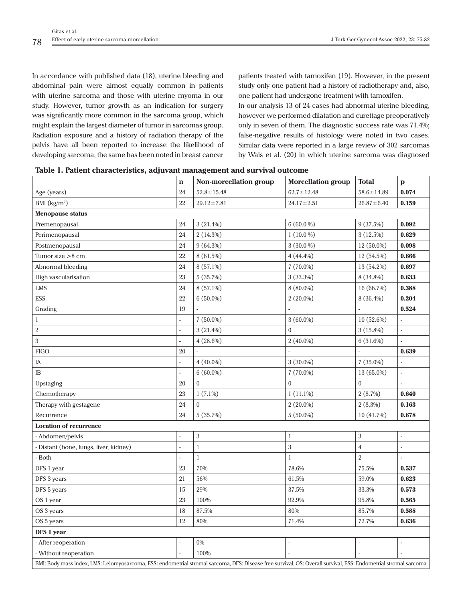In accordance with published data (18), uterine bleeding and abdominal pain were almost equally common in patients with uterine sarcoma and those with uterine myoma in our study. However, tumor growth as an indication for surgery was significantly more common in the sarcoma group, which might explain the largest diameter of tumor in sarcomas group. Radiation exposure and a history of radiation therapy of the pelvis have all been reported to increase the likelihood of developing sarcoma; the same has been noted in breast cancer patients treated with tamoxifen (19). However, in the present study only one patient had a history of radiotherapy and, also, one patient had undergone treatment with tamoxifen.

In our analysis 13 of 24 cases had abnormal uterine bleeding, however we performed dilatation and curettage preoperatively only in seven of them. The diagnostic success rate was 71.4%; false-negative results of histology were noted in two cases. Similar data were reported in a large review of 302 sarcomas by Wais et al. (20) in which uterine sarcoma was diagnosed

| Table 1. Fauent characterístics, aujuvant management and survival outcome                                                                                       |                          |                        |                           |                  |              |  |  |  |
|-----------------------------------------------------------------------------------------------------------------------------------------------------------------|--------------------------|------------------------|---------------------------|------------------|--------------|--|--|--|
|                                                                                                                                                                 | $\mathbf n$              | Non-morcellation group | <b>Morcellation group</b> | <b>Total</b>     | $\mathbf{p}$ |  |  |  |
| Age (years)                                                                                                                                                     | 24                       | $52.8 \pm 15.48$       | $62.7 \pm 12.48$          | $58.6 \pm 14.89$ | 0.074        |  |  |  |
| BMI $(kg/m2)$                                                                                                                                                   | 22                       | $29.12 \pm 7.81$       | $24.17 \pm 2.51$          | $26.87 \pm 6.40$ | 0.159        |  |  |  |
| <b>Menopause status</b>                                                                                                                                         |                          |                        |                           |                  |              |  |  |  |
| Premenopausal                                                                                                                                                   | 24                       | 3(21.4%)               | $6(60.0\%)$               | 9(37.5%)         | 0.092        |  |  |  |
| Perimenopausal                                                                                                                                                  | 24                       | 2(14.3%)               | $1(10.0\%)$               | 3(12.5%)         | 0.629        |  |  |  |
| Postmenopausal                                                                                                                                                  | 24                       | $9(64.3\%)$            | $3(30.0\%)$               | 12 (50.0%)       | 0.098        |  |  |  |
| Tumor size $>8$ cm                                                                                                                                              | 22                       | 8 (61.5%)              | $4(44.4\%)$               | 12 (54.5%)       | 0.666        |  |  |  |
| Abnormal bleeding                                                                                                                                               | 24                       | 8 (57.1%)              | $7(70.0\%)$               | 13 (54.2%)       | 0.697        |  |  |  |
| High vascularisation                                                                                                                                            | 23                       | 5(35.7%)               | 3(33.3%)                  | 8 (34.8%)        | 0.633        |  |  |  |
| LMS                                                                                                                                                             | 24                       | 8 (57.1%)              | $8(80.0\%)$               | 16 (66.7%)       | 0.388        |  |  |  |
| <b>ESS</b>                                                                                                                                                      | 22                       | $6(50.0\%)$            | $2(20.0\%)$               | 8 (36.4%)        | 0.204        |  |  |  |
| Grading                                                                                                                                                         | 19                       |                        | L.                        |                  | 0.524        |  |  |  |
| $\mathbf{1}$                                                                                                                                                    | $\overline{a}$           | $7(50.0\%)$            | $3(60.0\%)$               | 10 (52.6%)       |              |  |  |  |
| $\,2$                                                                                                                                                           | $\overline{a}$           | $3(21.4\%)$            | $\boldsymbol{0}$          | $3(15.8\%)$      | L.           |  |  |  |
| $\mathbf{3}$                                                                                                                                                    | $\overline{a}$           | $4(28.6\%)$            | $2(40.0\%)$               | 6 (31.6%)        |              |  |  |  |
| <b>FIGO</b>                                                                                                                                                     | 20                       |                        | L.                        |                  | 0.639        |  |  |  |
| ΙA                                                                                                                                                              | $\overline{a}$           | $4(40.0\%)$            | $3(30.0\%)$               | $7(35.0\%)$      | ä,           |  |  |  |
| IB                                                                                                                                                              | $\sim$                   | $6(60.0\%)$            | $7(70.0\%)$               | 13 (65.0%)       | L.           |  |  |  |
| Upstaging                                                                                                                                                       | 20                       | $\mathbf{0}$           | $\mathbf{0}$              | $\mathbf{0}$     | ä,           |  |  |  |
| Chemotherapy                                                                                                                                                    | 23                       | $1(7.1\%)$             | $1(11.1\%)$               | 2(8.7%)          | 0.640        |  |  |  |
| Therapy with gestagene                                                                                                                                          | 24                       | $\boldsymbol{0}$       | $2(20.0\%)$               | 2(8.3%)          | 0.163        |  |  |  |
| Recurrence                                                                                                                                                      | 24                       | 5(35.7%)               | $5(50.0\%)$               | 10 (41.7%)       | 0.678        |  |  |  |
| <b>Location of recurrence</b>                                                                                                                                   |                          |                        |                           |                  |              |  |  |  |
| - Abdomen/pelvis                                                                                                                                                | $\overline{a}$           | $\,3$                  | $\mathbf{1}$              | $\,3$            | ä,           |  |  |  |
| - Distant (bone, lungs, liver, kidney)                                                                                                                          | $\overline{a}$           | $\mathbf{1}$           | $\sqrt{3}$                | $\overline{4}$   | í,           |  |  |  |
| - Both                                                                                                                                                          | $\overline{\phantom{a}}$ | $\mathbf{1}$           | $\mathbf{1}$              | $\sqrt{2}$       |              |  |  |  |
| DFS 1 year                                                                                                                                                      | 23                       | 70%                    | 78.6%                     | 75.5%            | 0.537        |  |  |  |
| DFS 3 years                                                                                                                                                     | 21                       | 56%                    | 61.5%                     | 59.0%            | 0.623        |  |  |  |
| DFS 5 years                                                                                                                                                     | 15                       | 29%                    | 37.5%                     | 33.3%            | 0.573        |  |  |  |
| OS 1 year                                                                                                                                                       | 23                       | 100%                   | 92.9%                     | 95.8%            | 0.565        |  |  |  |
| OS 3 years                                                                                                                                                      | 18                       | 87.5%                  | 80%                       | 85.7%            | 0.588        |  |  |  |
| OS 5 years                                                                                                                                                      | 12                       | 80%                    | 71.4%                     | 72.7%            | 0.636        |  |  |  |
| DFS 1 year                                                                                                                                                      |                          |                        |                           |                  |              |  |  |  |
| - After reoperation                                                                                                                                             | $\overline{\phantom{a}}$ | $0\%$                  | ÷,                        | $\overline{a}$   | L,           |  |  |  |
| - Without reoperation                                                                                                                                           |                          | 100%                   |                           |                  |              |  |  |  |
| BMI: Body mass index, LMS: Leiomyosarcoma, ESS: endometrial stromal sarcoma, DFS: Disease free survival, OS: Overall survival, ESS: Endometrial stromal sarcoma |                          |                        |                           |                  |              |  |  |  |

|  | Table 1. Patient characteristics, adjuvant management and survival outcome |  |  |  |
|--|----------------------------------------------------------------------------|--|--|--|
|  |                                                                            |  |  |  |
|  |                                                                            |  |  |  |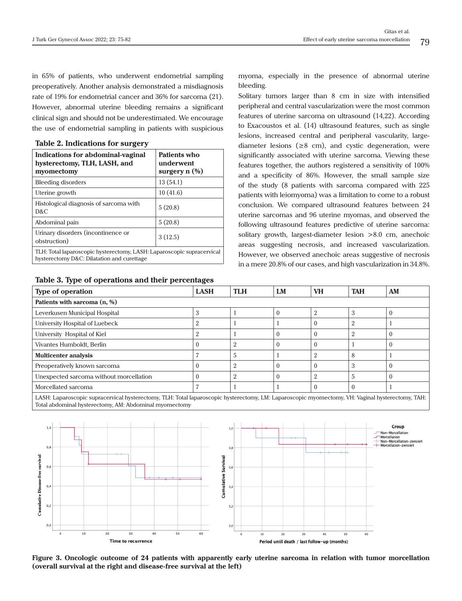in 65% of patients, who underwent endometrial sampling preoperatively. Another analysis demonstrated a misdiagnosis rate of 19% for endometrial cancer and 36% for sarcoma (21). However, abnormal uterine bleeding remains a significant clinical sign and should not be underestimated. We encourage the use of endometrial sampling in patients with suspicious

| Indications for abdominal-vaginal<br>hysterectomy, TLH, LASH, and<br>myomectomy                                      | Patients who<br>underwent<br>surgery $n$ $(\%)$ |  |  |  |  |
|----------------------------------------------------------------------------------------------------------------------|-------------------------------------------------|--|--|--|--|
| <b>Bleeding disorders</b>                                                                                            | 13(54.1)                                        |  |  |  |  |
| Uterine growth                                                                                                       | 10(41.6)                                        |  |  |  |  |
| Histological diagnosis of sarcoma with<br>D&C                                                                        | 5(20.8)                                         |  |  |  |  |
| Abdominal pain                                                                                                       | 5(20.8)                                         |  |  |  |  |
| Urinary disorders (incontinence or<br>obstruction)                                                                   | 3(12.5)                                         |  |  |  |  |
| TLH: Total laparoscopic hysterectomy, LASH: Laparoscopic supracervical<br>hysterectomy D&C: Dilatation and curettage |                                                 |  |  |  |  |

#### **Table 2. Indications for surgery**

**Table 3. Type of operations and their percentages**

myoma, especially in the presence of abnormal uterine bleeding.

Solitary tumors larger than 8 cm in size with intensified peripheral and central vascularization were the most common features of uterine sarcoma on ultrasound (14,22). According to Exacoustos et al. (14) ultrasound features, such as single lesions, increased central and peripheral vascularity, largediameter lesions ( $\geq$ 8 cm), and cystic degeneration, were significantly associated with uterine sarcoma. Viewing these features together, the authors registered a sensitivity of 100% and a specificity of 86%. However, the small sample size of the study (8 patients with sarcoma compared with 225 patients with leiomyoma) was a limitation to come to a robust conclusion. We compared ultrasound features between 24 uterine sarcomas and 96 uterine myomas, and observed the following ultrasound features predictive of uterine sarcoma: solitary growth, largest-diameter lesion >8.0 cm, anechoic areas suggesting necrosis, and increased vascularization. However, we observed anechoic areas suggestive of necrosis in a mere 20.8% of our cases, and high vascularization in 34.8%.

| Type of operation                                                                                                                                | <b>LASH</b>    | <b>TLH</b> | LM       | <b>VH</b>      | <b>TAH</b>     | AM |  |  |
|--------------------------------------------------------------------------------------------------------------------------------------------------|----------------|------------|----------|----------------|----------------|----|--|--|
| Patients with sarcoma (n, %)                                                                                                                     |                |            |          |                |                |    |  |  |
| Leverkusen Municipal Hospital                                                                                                                    | $\Omega$<br>5. |            | 0        | $\overline{2}$ | 3              |    |  |  |
| University Hospital of Luebeck                                                                                                                   | ີ              |            |          | $\theta$       | 2              |    |  |  |
| University Hospital of Kiel                                                                                                                      | ິ              |            | 0        | $\theta$       | $\overline{2}$ |    |  |  |
| Vivantes Humboldt, Berlin                                                                                                                        | 0              | $\Omega$   | 0        | $\theta$       |                |    |  |  |
| <b>Multicenter analysis</b>                                                                                                                      |                | 5          |          | $\overline{2}$ | 8              |    |  |  |
| Preoperatively known sarcoma                                                                                                                     |                | $\Omega$   |          | $\theta$       | 3              |    |  |  |
| Unexpected sarcoma without morcellation                                                                                                          | $\Omega$       | $\Omega$   | $\Omega$ | $\overline{2}$ | 5              |    |  |  |
| Morcellated sarcoma                                                                                                                              |                |            |          | $\theta$       | $\theta$       |    |  |  |
| LASH: Laparoscopic supracervical hysterectomy, TLH: Total laparoscopic hysterectomy, LM: Laparoscopic myomectomy, VH: Vaginal hysterectomy, TAH: |                |            |          |                |                |    |  |  |

Total abdominal hysterectomy, AM: Abdominal myomectomy



**Figure 3. Oncologic outcome of 24 patients with apparently early uterine sarcoma in relation with tumor morcellation (overall survival at the right and disease-free survival at the left)**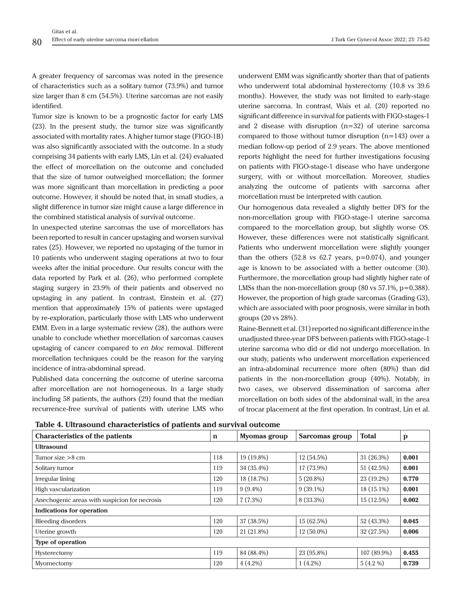A greater frequency of sarcomas was noted in the presence of characteristics such as a solitary tumor (73.9%) and tumor size larger than 8 cm (54.5%). Uterine sarcomas are not easily identified.

Tumor size is known to be a prognostic factor for early LMS (23). In the present study, the tumor size was significantly associated with mortality rates. A higher tumor stage (FIGO-1B) was also significantly associated with the outcome. In a study comprising 34 patients with early LMS, Lin et al. (24) evaluated the effect of morcellation on the outcome and concluded that the size of tumor outweighed morcellation; the former was more significant than morcellation in predicting a poor outcome. However, it should be noted that, in small studies, a slight difference in tumor size might cause a large difference in the combined statistical analysis of survival outcome.

In unexpected uterine sarcomas the use of morcellators has been reported to result in cancer upstaging and worsen survival rates (25). However, we reported no upstaging of the tumor in 10 patients who underwent staging operations at two to four weeks after the initial procedure. Our results concur with the data reported by Park et al. (26), who performed complete staging surgery in 23.9% of their patients and observed no upstaging in any patient. In contrast, Einstein et al. (27) mention that approximately 15% of patients were upstaged by re-exploration, particularly those with LMS who underwent EMM. Even in a large systematic review (28), the authors were unable to conclude whether morcellation of sarcomas causes upstaging of cancer compared to *en bloc* removal. Different morcellation techniques could be the reason for the varying incidence of intra-abdominal spread.

Published data concerning the outcome of uterine sarcoma after morcellation are not homogeneous. In a large study including 58 patients, the authors (29) found that the median recurrence-free survival of patients with uterine LMS who

underwent EMM was significantly shorter than that of patients who underwent total abdominal hysterectomy (10.8 vs 39.6 months). However, the study was not limited to early-stage uterine sarcoma. In contrast, Wais et al. (20) reported no significant difference in survival for patients with FIGO-stages-1 and 2 disease with disruption (n=32) of uterine sarcoma compared to those without tumor disruption  $(n=143)$  over a median follow-up period of 2.9 years. The above mentioned reports highlight the need for further investigations focusing on patients with FIGO-stage-1 disease who have undergone surgery, with or without morcellation. Moreover, studies analyzing the outcome of patients with sarcoma after morcellation must be interpreted with caution.

Our homogenous data revealed a slightly better DFS for the non-morcellation group with FIGO-stage-1 uterine sarcoma compared to the morcellation group, but slightly worse OS. However, these differences were not statistically significant. Patients who underwent morcellation were slightly younger than the others  $(52.8 \text{ vs } 62.7 \text{ years}, \text{ p=0.074}),$  and younger age is known to be associated with a better outcome (30). Furthermore, the morcellation group had slightly higher rate of LMSs than the non-morcellation group  $(80 \text{ vs } 57.1\%, \text{p} = 0.388)$ . However, the proportion of high grade sarcomas (Grading G3), which are associated with poor prognosis, were similar in both groups (20 vs 28%).

Raine-Bennett et al. (31) reported no significant difference in the unadjusted three-year DFS between patients with FIGO-stage-1 uterine sarcoma who did or did not undergo morcellation. In our study, patients who underwent morcellation experienced an intra-abdominal recurrence more often (80%) than did patients in the non-morcellation group (40%). Notably, in two cases, we observed dissemination of sarcoma after morcellation on both sides of the abdominal wall, in the area of trocar placement at the first operation. In contrast, Lin et al.

| <b>Characteristics of the patients</b>        | $\mathbf n$ | Myomas group | Sarcomas group | <b>Total</b> | p     |
|-----------------------------------------------|-------------|--------------|----------------|--------------|-------|
| <b>Ultrasound</b>                             |             |              |                |              |       |
| Tumor size $>8$ cm                            | 118         | 19 (19.8%)   | 12 (54.5%)     | 31 (26.3%)   | 0.001 |
| Solitary tumor                                | 119         | 34 (35.4%)   | 17 (73.9%)     | 51 (42.5%)   | 0.001 |
| Irregular lining                              | 120         | 18 (18.7%)   | $5(20.8\%)$    | 23 (19.2%)   | 0.770 |
| High vascularization                          | 119         | $9(9.4\%)$   | $9(39.1\%)$    | 18 (15.1%)   | 0.001 |
| Anechogenic areas with suspicion for necrosis | 120         | $7(7.3\%)$   | 8 (33.3%)      | 15(12.5%)    | 0.002 |
| <b>Indications for operation</b>              |             |              |                |              |       |
| <b>Bleeding disorders</b>                     | 120         | 37 (38.5%)   | 15 (62.5%)     | 52 (43.3%)   | 0.045 |
| Uterine growth                                | 120         | 21 (21.8%)   | $12(50.0\%)$   | 32 (27.5%)   | 0.006 |
| Type of operation                             |             |              |                |              |       |
| Hysterectomy                                  | 119         | 84 (88.4%)   | 23 (95.8%)     | 107 (89.9%)  | 0.455 |
| Myomectomy                                    | 120         | $4(4.2\%)$   | $1(4.2\%)$     | $5(4.2\%)$   | 0.739 |

**Table 4. Ultrasound characteristics of patients and survival outcome**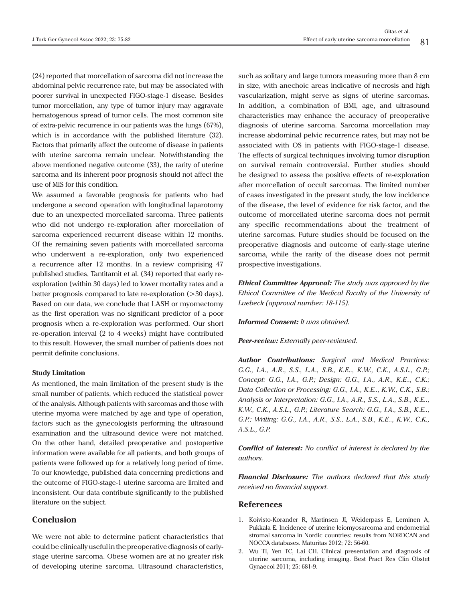(24) reported that morcellation of sarcoma did not increase the abdominal pelvic recurrence rate, but may be associated with poorer survival in unexpected FIGO-stage-1 disease. Besides tumor morcellation, any type of tumor injury may aggravate hematogenous spread of tumor cells. The most common site of extra-pelvic recurrence in our patients was the lungs (67%), which is in accordance with the published literature (32). Factors that primarily affect the outcome of disease in patients with uterine sarcoma remain unclear. Notwithstanding the above mentioned negative outcome (33), the rarity of uterine sarcoma and its inherent poor prognosis should not affect the use of MIS for this condition.

We assumed a favorable prognosis for patients who had undergone a second operation with longitudinal laparotomy due to an unexpected morcellated sarcoma. Three patients who did not undergo re-exploration after morcellation of sarcoma experienced recurrent disease within 12 months. Of the remaining seven patients with morcellated sarcoma who underwent a re-exploration, only two experienced a recurrence after 12 months. In a review comprising 47 published studies, Tantitamit et al. (34) reported that early reexploration (within 30 days) led to lower mortality rates and a better prognosis compared to late re-exploration (>30 days). Based on our data, we conclude that LASH or myomectomy as the first operation was no significant predictor of a poor prognosis when a re-exploration was performed. Our short re-operation interval (2 to 4 weeks) might have contributed to this result. However, the small number of patients does not permit definite conclusions.

#### **Study Limitation**

As mentioned, the main limitation of the present study is the small number of patients, which reduced the statistical power of the analysis. Although patients with sarcomas and those with uterine myoma were matched by age and type of operation, factors such as the gynecologists performing the ultrasound examination and the ultrasound device were not matched. On the other hand, detailed preoperative and postopertive information were available for all patients, and both groups of patients were followed up for a relatively long period of time. To our knowledge, published data concerning predictions and the outcome of FIGO-stage-1 uterine sarcoma are limited and inconsistent. Our data contribute significantly to the published literature on the subject.

# **Conclusion**

We were not able to determine patient characteristics that could be clinically useful in the preoperative diagnosis of earlystage uterine sarcoma. Obese women are at no greater risk of developing uterine sarcoma. Ultrasound characteristics,

such as solitary and large tumors measuring more than 8 cm in size, with anechoic areas indicative of necrosis and high vascularization, might serve as signs of uterine sarcomas. In addition, a combination of BMI, age, and ultrasound characteristics may enhance the accuracy of preoperative diagnosis of uterine sarcoma. Sarcoma morcellation may increase abdominal pelvic recurrence rates, but may not be associated with OS in patients with FIGO-stage-1 disease. The effects of surgical techniques involving tumor disruption on survival remain controversial. Further studies should be designed to assess the positive effects of re-exploration after morcellation of occult sarcomas. The limited number of cases investigated in the present study, the low incidence of the disease, the level of evidence for risk factor, and the outcome of morcellated uterine sarcoma does not permit any specific recommendations about the treatment of uterine sarcomas. Future studies should be focused on the preoperative diagnosis and outcome of early-stage uterine sarcoma, while the rarity of the disease does not permit prospective investigations.

*Ethical Committee Approval: The study was approved by the Ethical Committee of the Medical Faculty of the University of Luebeck (approval number: 18-115).*

#### *Informed Consent: It was obtained.*

*Peer-review: Externally peer-reviewed.*

*Author Contributions: Surgical and Medical Practices: G.G., I.A., A.R., S.S., L.A., S.B., K.E.., K.W., C.K., A.S.L., G.P.; Concept: G.G., I.A., G.P.; Design: G.G., I.A., A.R., K.E.., C.K.; Data Collection or Processing: G.G., I.A., K.E.., K.W., C.K., S.B.; Analysis or Interpretation: G.G., I.A., A.R., S.S., L.A., S.B., K.E.., K.W., C.K., A.S.L., G.P.; Literature Search: G.G., I.A., S.B., K.E.., G.P.; Writing: G.G., I.A., A.R., S.S., L.A., S.B., K.E.., K.W., C.K., A.S.L., G.P.*

*Conflict of Interest: No conflict of interest is declared by the authors.*

*Financial Disclosure: The authors declared that this study received no financial support.*

#### **References**

- 1. Koivisto-Korander R, Martinsen JI, Weiderpass E, Leminen A, Pukkala E. Incidence of uterine leiomyosarcoma and endometrial stromal sarcoma in Nordic countries: results from NORDCAN and NOCCA databases. Maturitas 2012; 72: 56-60.
- 2. Wu TI, Yen TC, Lai CH. Clinical presentation and diagnosis of uterine sarcoma, including imaging. Best Pract Res Clin Obstet Gynaecol 2011; 25: 681-9.